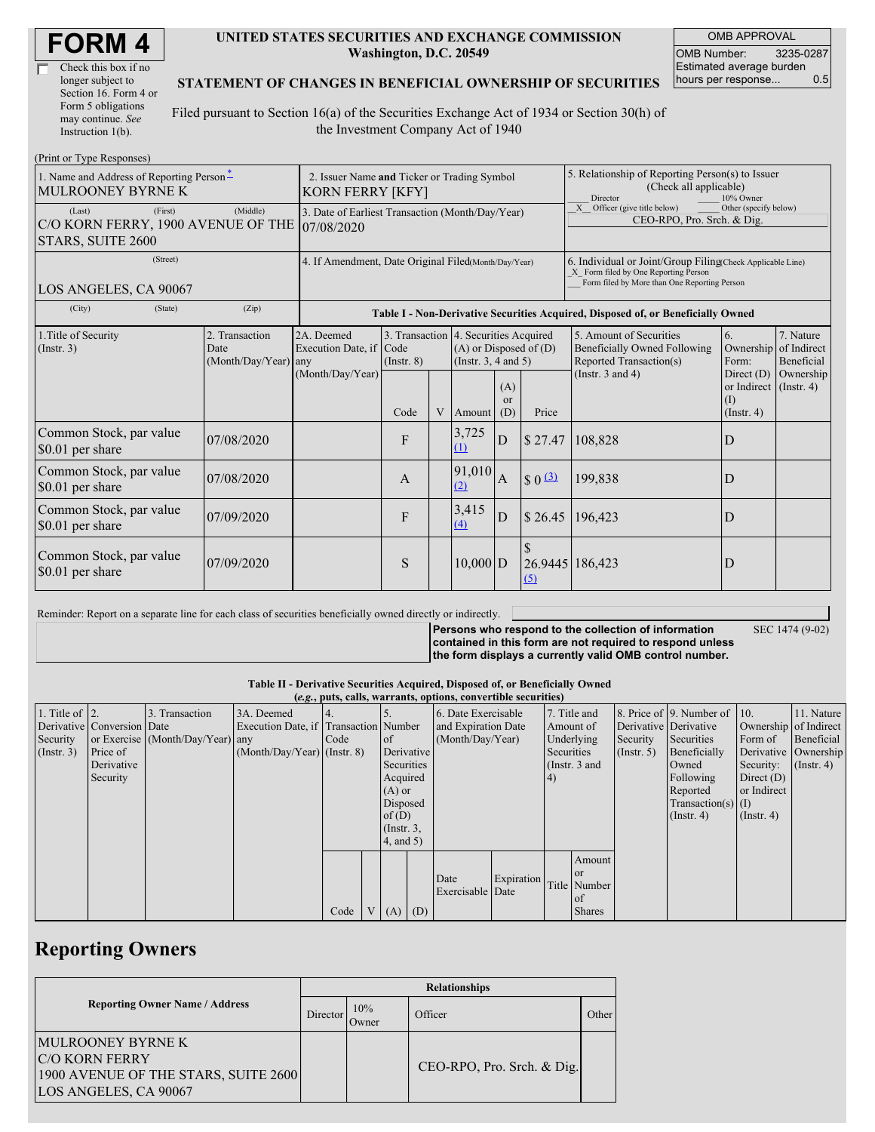| <b>FORM4</b> |
|--------------|
|--------------|

| Check this box if no  |
|-----------------------|
| longer subject to     |
| Section 16. Form 4 or |
| Form 5 obligations    |
| may continue. See     |
| Instruction 1(b).     |

#### **UNITED STATES SECURITIES AND EXCHANGE COMMISSION Washington, D.C. 20549**

OMB APPROVAL OMB Number: 3235-0287 Estimated average burden hours per response... 0.5

#### **STATEMENT OF CHANGES IN BENEFICIAL OWNERSHIP OF SECURITIES**

Filed pursuant to Section 16(a) of the Securities Exchange Act of 1934 or Section 30(h) of the Investment Company Act of 1940

| (Print or Type Responses)                                                    |                                                                        |                                                      |                                                                                  |  |                              |                                                                                                 |                                                                                                                                                    |                                                                                                                    |                                          |                                                     |  |
|------------------------------------------------------------------------------|------------------------------------------------------------------------|------------------------------------------------------|----------------------------------------------------------------------------------|--|------------------------------|-------------------------------------------------------------------------------------------------|----------------------------------------------------------------------------------------------------------------------------------------------------|--------------------------------------------------------------------------------------------------------------------|------------------------------------------|-----------------------------------------------------|--|
| 1. Name and Address of Reporting Person*<br><b>MULROONEY BYRNE K</b>         | 2. Issuer Name and Ticker or Trading Symbol<br><b>KORN FERRY [KFY]</b> |                                                      |                                                                                  |  |                              |                                                                                                 | 5. Relationship of Reporting Person(s) to Issuer<br>(Check all applicable)<br>Director<br>10% Owner                                                |                                                                                                                    |                                          |                                                     |  |
| (First)<br>(Last)<br>C/O KORN FERRY, 1900 AVENUE OF THE<br>STARS, SUITE 2600 | 3. Date of Earliest Transaction (Month/Day/Year)<br>07/08/2020         |                                                      |                                                                                  |  |                              |                                                                                                 | X Officer (give title below)<br>Other (specify below)<br>CEO-RPO, Pro. Srch. & Dig.                                                                |                                                                                                                    |                                          |                                                     |  |
| (Street)<br>LOS ANGELES, CA 90067                                            | 4. If Amendment, Date Original Filed(Month/Day/Year)                   |                                                      |                                                                                  |  |                              |                                                                                                 | 6. Individual or Joint/Group Filing(Check Applicable Line)<br>X Form filed by One Reporting Person<br>Form filed by More than One Reporting Person |                                                                                                                    |                                          |                                                     |  |
| (City)<br>(State)                                                            | (Zip)                                                                  |                                                      | Table I - Non-Derivative Securities Acquired, Disposed of, or Beneficially Owned |  |                              |                                                                                                 |                                                                                                                                                    |                                                                                                                    |                                          |                                                     |  |
| 1. Title of Security<br>(Insert. 3)                                          | 2. Transaction<br>Date<br>(Month/Day/Year) any                         | 2A. Deemed<br>Execution Date, if<br>(Month/Day/Year) | Code<br>$($ Instr. $8)$                                                          |  |                              | 3. Transaction 4. Securities Acquired<br>$(A)$ or Disposed of $(D)$<br>(Instr. $3, 4$ and $5$ ) |                                                                                                                                                    | 5. Amount of Securities<br><b>Beneficially Owned Following</b><br>Reported Transaction(s)<br>(Instr. $3$ and $4$ ) | 6.<br>Ownership<br>Form:<br>Direct $(D)$ | 7. Nature<br>of Indirect<br>Beneficial<br>Ownership |  |
|                                                                              |                                                                        |                                                      | (A)<br><sub>or</sub><br>V<br>Code<br>(D)<br>Amount                               |  | Price                        |                                                                                                 | or Indirect (Instr. 4)<br>(I)<br>$($ Instr. 4 $)$                                                                                                  |                                                                                                                    |                                          |                                                     |  |
| Common Stock, par value<br>\$0.01 per share                                  | 07/08/2020                                                             |                                                      | $\mathbf{F}$                                                                     |  | 3,725<br>(1)                 | $\frac{1}{2}$ 27.47<br>D                                                                        |                                                                                                                                                    | 108,828                                                                                                            | D                                        |                                                     |  |
| Common Stock, par value<br>\$0.01 per share                                  | 07/08/2020                                                             |                                                      | $\mathbf{A}$                                                                     |  | 91,010<br>(2)                | $\int$ $\int$ $\frac{3}{2}$<br>$\overline{A}$                                                   |                                                                                                                                                    | 199,838                                                                                                            | D                                        |                                                     |  |
| Common Stock, par value<br>\$0.01 per share                                  | 07/09/2020                                                             |                                                      | F                                                                                |  | 3,415<br>D<br>\$26.45<br>(4) |                                                                                                 |                                                                                                                                                    | 196,423                                                                                                            | D                                        |                                                     |  |
| Common Stock, par value<br>\$0.01 per share                                  | 07/09/2020                                                             |                                                      | S                                                                                |  | $10,000$ D                   |                                                                                                 | 26.9445 186,423<br>$\Omega$                                                                                                                        |                                                                                                                    | D                                        |                                                     |  |

Reminder: Report on a separate line for each class of securities beneficially owned directly or indirectly.

SEC 1474 (9-02)

**Persons who respond to the collection of information contained in this form are not required to respond unless the form displays a currently valid OMB control number.**

**Table II - Derivative Securities Acquired, Disposed of, or Beneficially Owned (***e.g.***, puts, calls, warrants, options, convertible securities)**

| $(e, g, \mu s, can, w a)$ range options, convertible securities) |                            |                                  |                                       |      |  |                  |                     |                          |            |            |                                     |                  |                              |                               |                      |
|------------------------------------------------------------------|----------------------------|----------------------------------|---------------------------------------|------|--|------------------|---------------------|--------------------------|------------|------------|-------------------------------------|------------------|------------------------------|-------------------------------|----------------------|
| 1. Title of $\vert$ 2.                                           |                            | 3. Transaction                   | 3A. Deemed                            |      |  |                  |                     | 6. Date Exercisable      |            |            | 7. Title and                        |                  | 8. Price of 9. Number of 10. |                               | 11. Nature           |
|                                                                  | Derivative Conversion Date |                                  | Execution Date, if Transaction Number |      |  |                  | and Expiration Date |                          | Amount of  |            | Derivative Derivative               |                  | Ownership of Indirect        |                               |                      |
| Security                                                         |                            | or Exercise (Month/Day/Year) any |                                       | Code |  | <sub>of</sub>    |                     | (Month/Day/Year)         |            |            | Underlying                          | Security         | Securities                   | Form of                       | Beneficial           |
| $($ Instr. 3 $)$                                                 | Price of                   |                                  | $(Month/Day/Year)$ (Instr. 8)         |      |  | Derivative       |                     |                          |            | Securities |                                     | $($ Instr. 5 $)$ | Beneficially                 |                               | Derivative Ownership |
|                                                                  | Derivative                 |                                  |                                       |      |  | Securities       |                     |                          |            |            | (Instr. $3$ and                     |                  | Owned                        | Security: $(\text{Instr. 4})$ |                      |
|                                                                  | Security                   |                                  |                                       |      |  | Acquired         |                     |                          |            |            |                                     |                  | Following                    | Direct $(D)$                  |                      |
|                                                                  |                            |                                  |                                       |      |  | $(A)$ or         |                     |                          |            |            |                                     |                  | Reported                     | or Indirect                   |                      |
|                                                                  |                            |                                  |                                       |      |  | Disposed         |                     |                          |            |            |                                     |                  | $Transaction(s)$ (I)         |                               |                      |
|                                                                  |                            |                                  |                                       |      |  | of $(D)$         |                     |                          |            |            |                                     |                  | $($ Instr. 4 $)$             | $($ Instr. 4 $)$              |                      |
|                                                                  |                            |                                  |                                       |      |  | $($ Instr. $3$ , |                     |                          |            |            |                                     |                  |                              |                               |                      |
|                                                                  |                            |                                  |                                       |      |  | $4$ , and $5$ )  |                     |                          |            |            |                                     |                  |                              |                               |                      |
|                                                                  |                            |                                  |                                       |      |  |                  |                     |                          |            |            |                                     |                  |                              |                               |                      |
|                                                                  |                            |                                  |                                       |      |  |                  |                     |                          |            |            |                                     |                  |                              |                               |                      |
|                                                                  |                            |                                  |                                       |      |  |                  |                     |                          |            |            |                                     |                  |                              |                               |                      |
|                                                                  |                            |                                  |                                       |      |  |                  |                     |                          |            |            | l of                                |                  |                              |                               |                      |
|                                                                  |                            |                                  |                                       | Code |  |                  | (D)                 |                          |            |            | <b>Shares</b>                       |                  |                              |                               |                      |
|                                                                  |                            |                                  |                                       |      |  | V(A)             |                     | Date<br>Exercisable Date | Expiration |            | Amount<br><b>or</b><br>Title Number |                  |                              |                               |                      |

## **Reporting Owners**

|                                                                                                                    | <b>Relationships</b> |               |                            |       |  |  |  |  |  |
|--------------------------------------------------------------------------------------------------------------------|----------------------|---------------|----------------------------|-------|--|--|--|--|--|
| <b>Reporting Owner Name / Address</b>                                                                              | Director             | 10%<br>Owner) | Officer                    | Other |  |  |  |  |  |
| <b>MULROONEY BYRNE K</b><br><b>C/O KORN FERRY</b><br>1900 AVENUE OF THE STARS, SUITE 2600<br>LOS ANGELES, CA 90067 |                      |               | CEO-RPO, Pro. Srch. & Dig. |       |  |  |  |  |  |